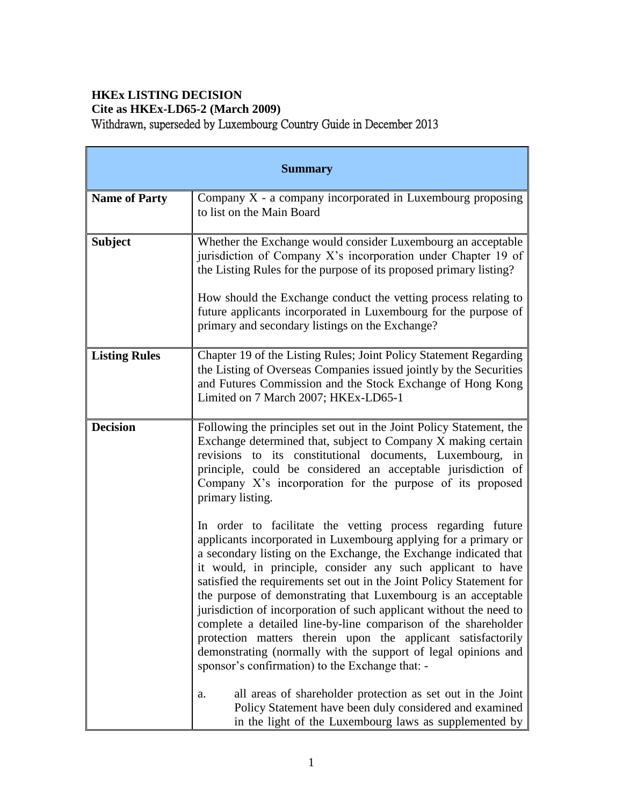# **HKEx LISTING DECISION Cite as HKEx-LD65-2 (March 2009)** Withdrawn, superseded by Luxembourg Country Guide in December 2013

| <b>Summary</b>       |                                                                                                                                                                                                                                                                                                                                                                                                                                                                                                                                                                                                                                                                                                                                          |  |
|----------------------|------------------------------------------------------------------------------------------------------------------------------------------------------------------------------------------------------------------------------------------------------------------------------------------------------------------------------------------------------------------------------------------------------------------------------------------------------------------------------------------------------------------------------------------------------------------------------------------------------------------------------------------------------------------------------------------------------------------------------------------|--|
| <b>Name of Party</b> | Company $X$ - a company incorporated in Luxembourg proposing<br>to list on the Main Board                                                                                                                                                                                                                                                                                                                                                                                                                                                                                                                                                                                                                                                |  |
| <b>Subject</b>       | Whether the Exchange would consider Luxembourg an acceptable<br>jurisdiction of Company X's incorporation under Chapter 19 of<br>the Listing Rules for the purpose of its proposed primary listing?<br>How should the Exchange conduct the vetting process relating to<br>future applicants incorporated in Luxembourg for the purpose of<br>primary and secondary listings on the Exchange?                                                                                                                                                                                                                                                                                                                                             |  |
| <b>Listing Rules</b> | Chapter 19 of the Listing Rules; Joint Policy Statement Regarding<br>the Listing of Overseas Companies issued jointly by the Securities<br>and Futures Commission and the Stock Exchange of Hong Kong<br>Limited on 7 March 2007; HKEx-LD65-1                                                                                                                                                                                                                                                                                                                                                                                                                                                                                            |  |
| <b>Decision</b>      | Following the principles set out in the Joint Policy Statement, the<br>Exchange determined that, subject to Company X making certain<br>revisions to its constitutional documents, Luxembourg, in<br>principle, could be considered an acceptable jurisdiction of<br>Company X's incorporation for the purpose of its proposed<br>primary listing.                                                                                                                                                                                                                                                                                                                                                                                       |  |
|                      | In order to facilitate the vetting process regarding future<br>applicants incorporated in Luxembourg applying for a primary or<br>a secondary listing on the Exchange, the Exchange indicated that<br>it would, in principle, consider any such applicant to have<br>satisfied the requirements set out in the Joint Policy Statement for<br>the purpose of demonstrating that Luxembourg is an acceptable<br>jurisdiction of incorporation of such applicant without the need to<br>complete a detailed line-by-line comparison of the shareholder<br>protection matters therein upon the applicant satisfactorily<br>demonstrating (normally with the support of legal opinions and<br>sponsor's confirmation) to the Exchange that: - |  |
|                      | all areas of shareholder protection as set out in the Joint<br>a.<br>Policy Statement have been duly considered and examined<br>in the light of the Luxembourg laws as supplemented by                                                                                                                                                                                                                                                                                                                                                                                                                                                                                                                                                   |  |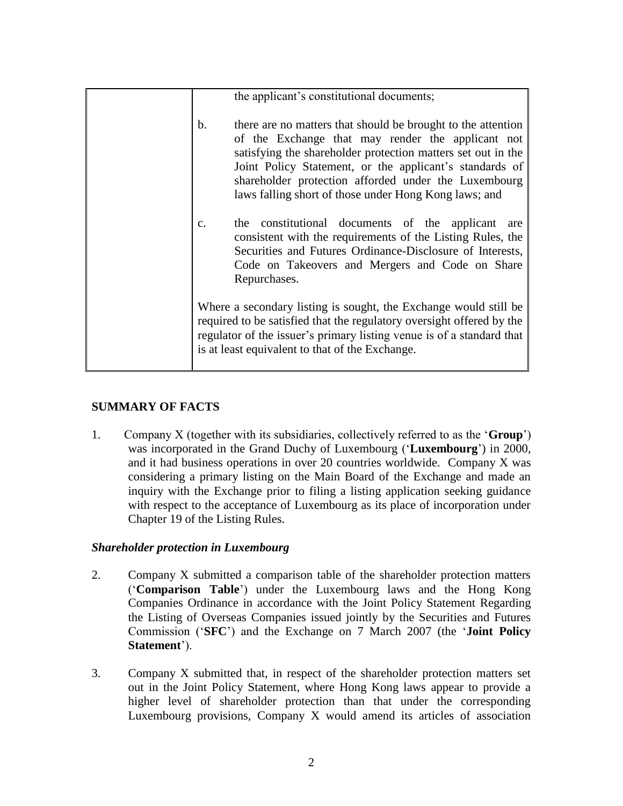|    | the applicant's constitutional documents;                                                                                                                                                                                                                                                                                                                     |
|----|---------------------------------------------------------------------------------------------------------------------------------------------------------------------------------------------------------------------------------------------------------------------------------------------------------------------------------------------------------------|
| b. | there are no matters that should be brought to the attention<br>of the Exchange that may render the applicant not<br>satisfying the shareholder protection matters set out in the<br>Joint Policy Statement, or the applicant's standards of<br>shareholder protection afforded under the Luxembourg<br>laws falling short of those under Hong Kong laws; and |
| c. | the constitutional documents of the applicant are<br>consistent with the requirements of the Listing Rules, the<br>Securities and Futures Ordinance-Disclosure of Interests,<br>Code on Takeovers and Mergers and Code on Share<br>Repurchases.                                                                                                               |
|    | Where a secondary listing is sought, the Exchange would still be<br>required to be satisfied that the regulatory oversight offered by the<br>regulator of the issuer's primary listing venue is of a standard that<br>is at least equivalent to that of the Exchange.                                                                                         |

# **SUMMARY OF FACTS**

1. Company X (together with its subsidiaries, collectively referred to as the '**Group**') was incorporated in the Grand Duchy of Luxembourg ('**Luxembourg**') in 2000, and it had business operations in over 20 countries worldwide. Company X was considering a primary listing on the Main Board of the Exchange and made an inquiry with the Exchange prior to filing a listing application seeking guidance with respect to the acceptance of Luxembourg as its place of incorporation under Chapter 19 of the Listing Rules.

# *Shareholder protection in Luxembourg*

- 2. Company X submitted a comparison table of the shareholder protection matters ('**Comparison Table**') under the Luxembourg laws and the Hong Kong Companies Ordinance in accordance with the Joint Policy Statement Regarding the Listing of Overseas Companies issued jointly by the Securities and Futures Commission ('**SFC**') and the Exchange on 7 March 2007 (the '**Joint Policy Statement**').
- 3. Company X submitted that, in respect of the shareholder protection matters set out in the Joint Policy Statement, where Hong Kong laws appear to provide a higher level of shareholder protection than that under the corresponding Luxembourg provisions, Company X would amend its articles of association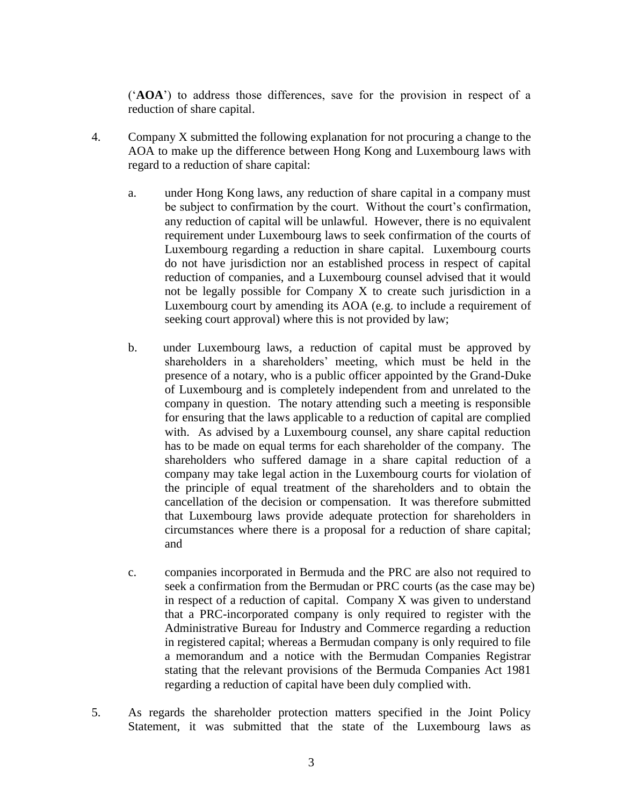('**AOA**') to address those differences, save for the provision in respect of a reduction of share capital.

- 4. Company X submitted the following explanation for not procuring a change to the AOA to make up the difference between Hong Kong and Luxembourg laws with regard to a reduction of share capital:
	- a. under Hong Kong laws, any reduction of share capital in a company must be subject to confirmation by the court. Without the court's confirmation, any reduction of capital will be unlawful. However, there is no equivalent requirement under Luxembourg laws to seek confirmation of the courts of Luxembourg regarding a reduction in share capital. Luxembourg courts do not have jurisdiction nor an established process in respect of capital reduction of companies, and a Luxembourg counsel advised that it would not be legally possible for Company X to create such jurisdiction in a Luxembourg court by amending its AOA (e.g. to include a requirement of seeking court approval) where this is not provided by law;
	- b. under Luxembourg laws, a reduction of capital must be approved by shareholders in a shareholders' meeting, which must be held in the presence of a notary, who is a public officer appointed by the Grand-Duke of Luxembourg and is completely independent from and unrelated to the company in question. The notary attending such a meeting is responsible for ensuring that the laws applicable to a reduction of capital are complied with. As advised by a Luxembourg counsel, any share capital reduction has to be made on equal terms for each shareholder of the company. The shareholders who suffered damage in a share capital reduction of a company may take legal action in the Luxembourg courts for violation of the principle of equal treatment of the shareholders and to obtain the cancellation of the decision or compensation. It was therefore submitted that Luxembourg laws provide adequate protection for shareholders in circumstances where there is a proposal for a reduction of share capital; and
	- c. companies incorporated in Bermuda and the PRC are also not required to seek a confirmation from the Bermudan or PRC courts (as the case may be) in respect of a reduction of capital. Company X was given to understand that a PRC-incorporated company is only required to register with the Administrative Bureau for Industry and Commerce regarding a reduction in registered capital; whereas a Bermudan company is only required to file a memorandum and a notice with the Bermudan Companies Registrar stating that the relevant provisions of the Bermuda Companies Act 1981 regarding a reduction of capital have been duly complied with.
- 5. As regards the shareholder protection matters specified in the Joint Policy Statement, it was submitted that the state of the Luxembourg laws as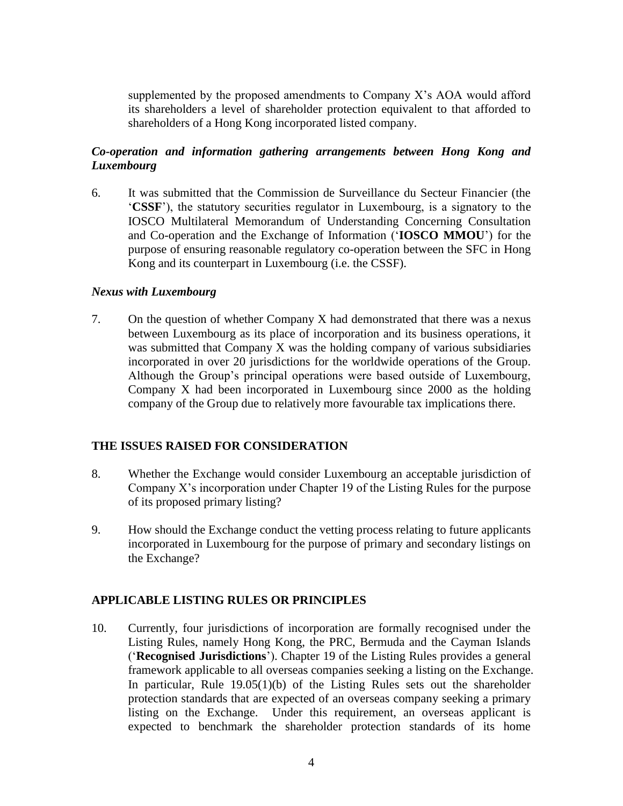supplemented by the proposed amendments to Company X's AOA would afford its shareholders a level of shareholder protection equivalent to that afforded to shareholders of a Hong Kong incorporated listed company.

### *Co-operation and information gathering arrangements between Hong Kong and Luxembourg*

6. It was submitted that the Commission de Surveillance du Secteur Financier (the '**CSSF**'), the statutory securities regulator in Luxembourg, is a signatory to the IOSCO Multilateral Memorandum of Understanding Concerning Consultation and Co-operation and the Exchange of Information ('**IOSCO MMOU**') for the purpose of ensuring reasonable regulatory co-operation between the SFC in Hong Kong and its counterpart in Luxembourg (i.e. the CSSF).

#### *Nexus with Luxembourg*

7. On the question of whether Company X had demonstrated that there was a nexus between Luxembourg as its place of incorporation and its business operations, it was submitted that Company X was the holding company of various subsidiaries incorporated in over 20 jurisdictions for the worldwide operations of the Group. Although the Group's principal operations were based outside of Luxembourg, Company X had been incorporated in Luxembourg since 2000 as the holding company of the Group due to relatively more favourable tax implications there.

#### **THE ISSUES RAISED FOR CONSIDERATION**

- 8. Whether the Exchange would consider Luxembourg an acceptable jurisdiction of Company X's incorporation under Chapter 19 of the Listing Rules for the purpose of its proposed primary listing?
- 9. How should the Exchange conduct the vetting process relating to future applicants incorporated in Luxembourg for the purpose of primary and secondary listings on the Exchange?

### **APPLICABLE LISTING RULES OR PRINCIPLES**

10. Currently, four jurisdictions of incorporation are formally recognised under the Listing Rules, namely Hong Kong, the PRC, Bermuda and the Cayman Islands ('**Recognised Jurisdictions**'). Chapter 19 of the Listing Rules provides a general framework applicable to all overseas companies seeking a listing on the Exchange. In particular, Rule 19.05(1)(b) of the Listing Rules sets out the shareholder protection standards that are expected of an overseas company seeking a primary listing on the Exchange. Under this requirement, an overseas applicant is expected to benchmark the shareholder protection standards of its home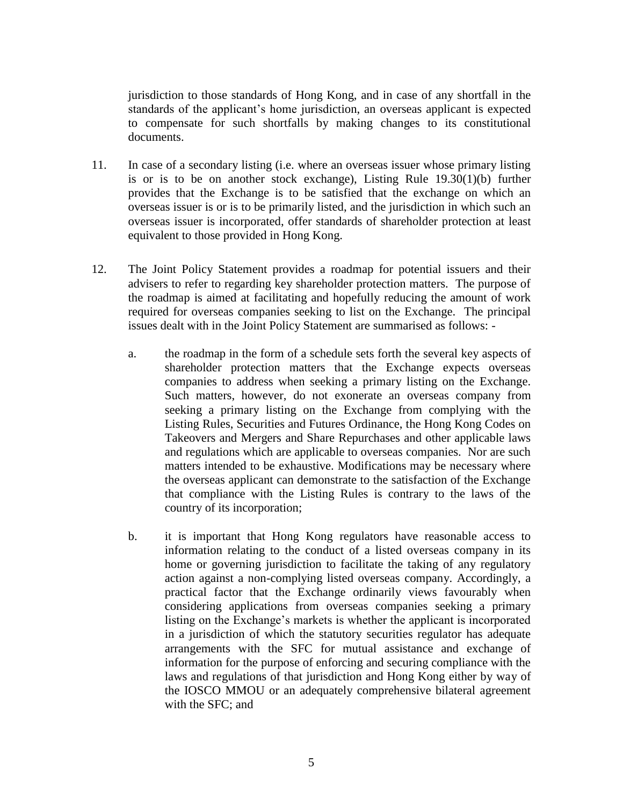jurisdiction to those standards of Hong Kong, and in case of any shortfall in the standards of the applicant's home jurisdiction, an overseas applicant is expected to compensate for such shortfalls by making changes to its constitutional documents.

- 11. In case of a secondary listing (i.e. where an overseas issuer whose primary listing is or is to be on another stock exchange), Listing Rule 19.30(1)(b) further provides that the Exchange is to be satisfied that the exchange on which an overseas issuer is or is to be primarily listed, and the jurisdiction in which such an overseas issuer is incorporated, offer standards of shareholder protection at least equivalent to those provided in Hong Kong.
- 12. The Joint Policy Statement provides a roadmap for potential issuers and their advisers to refer to regarding key shareholder protection matters. The purpose of the roadmap is aimed at facilitating and hopefully reducing the amount of work required for overseas companies seeking to list on the Exchange. The principal issues dealt with in the Joint Policy Statement are summarised as follows:
	- a. the roadmap in the form of a schedule sets forth the several key aspects of shareholder protection matters that the Exchange expects overseas companies to address when seeking a primary listing on the Exchange. Such matters, however, do not exonerate an overseas company from seeking a primary listing on the Exchange from complying with the Listing Rules, Securities and Futures Ordinance, the Hong Kong Codes on Takeovers and Mergers and Share Repurchases and other applicable laws and regulations which are applicable to overseas companies. Nor are such matters intended to be exhaustive. Modifications may be necessary where the overseas applicant can demonstrate to the satisfaction of the Exchange that compliance with the Listing Rules is contrary to the laws of the country of its incorporation;
	- b. it is important that Hong Kong regulators have reasonable access to information relating to the conduct of a listed overseas company in its home or governing jurisdiction to facilitate the taking of any regulatory action against a non-complying listed overseas company. Accordingly, a practical factor that the Exchange ordinarily views favourably when considering applications from overseas companies seeking a primary listing on the Exchange's markets is whether the applicant is incorporated in a jurisdiction of which the statutory securities regulator has adequate arrangements with the SFC for mutual assistance and exchange of information for the purpose of enforcing and securing compliance with the laws and regulations of that jurisdiction and Hong Kong either by way of the IOSCO MMOU or an adequately comprehensive bilateral agreement with the SFC; and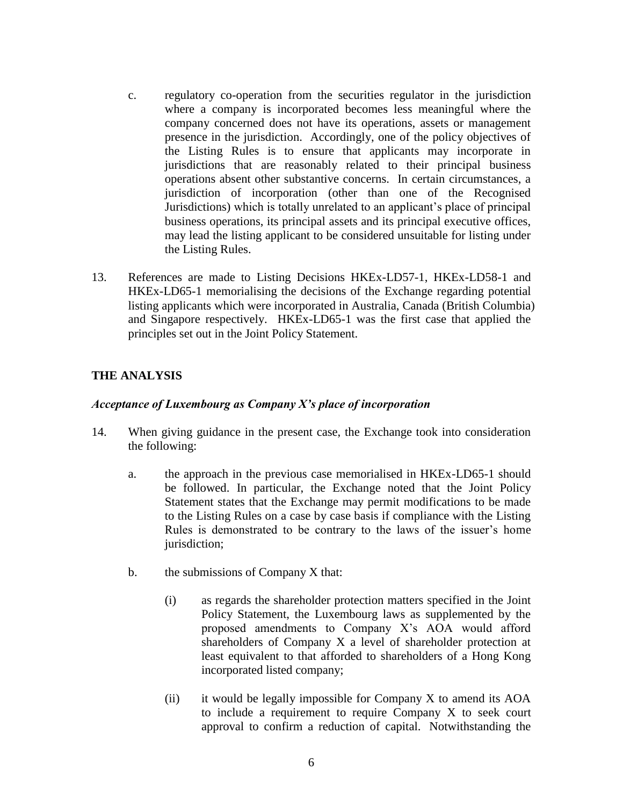- c. regulatory co-operation from the securities regulator in the jurisdiction where a company is incorporated becomes less meaningful where the company concerned does not have its operations, assets or management presence in the jurisdiction. Accordingly, one of the policy objectives of the Listing Rules is to ensure that applicants may incorporate in jurisdictions that are reasonably related to their principal business operations absent other substantive concerns. In certain circumstances, a jurisdiction of incorporation (other than one of the Recognised Jurisdictions) which is totally unrelated to an applicant's place of principal business operations, its principal assets and its principal executive offices, may lead the listing applicant to be considered unsuitable for listing under the Listing Rules.
- 13. References are made to Listing Decisions HKEx-LD57-1, HKEx-LD58-1 and HKEx-LD65-1 memorialising the decisions of the Exchange regarding potential listing applicants which were incorporated in Australia, Canada (British Columbia) and Singapore respectively. HKEx-LD65-1 was the first case that applied the principles set out in the Joint Policy Statement.

### **THE ANALYSIS**

### *Acceptance of Luxembourg as Company X's place of incorporation*

- 14. When giving guidance in the present case, the Exchange took into consideration the following:
	- a. the approach in the previous case memorialised in HKEx-LD65-1 should be followed. In particular, the Exchange noted that the Joint Policy Statement states that the Exchange may permit modifications to be made to the Listing Rules on a case by case basis if compliance with the Listing Rules is demonstrated to be contrary to the laws of the issuer's home jurisdiction;
	- b. the submissions of Company X that:
		- (i) as regards the shareholder protection matters specified in the Joint Policy Statement, the Luxembourg laws as supplemented by the proposed amendments to Company X's AOA would afford shareholders of Company X a level of shareholder protection at least equivalent to that afforded to shareholders of a Hong Kong incorporated listed company;
		- (ii) it would be legally impossible for Company X to amend its AOA to include a requirement to require Company X to seek court approval to confirm a reduction of capital. Notwithstanding the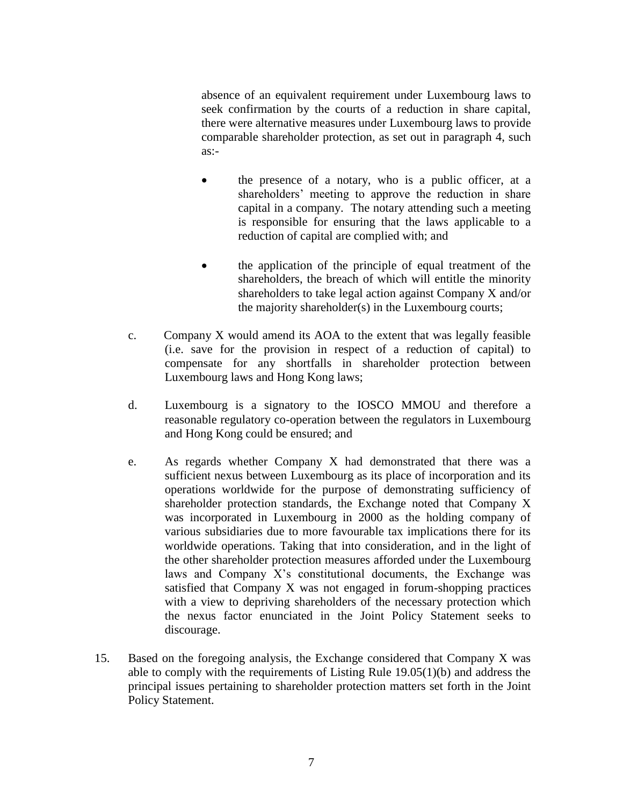absence of an equivalent requirement under Luxembourg laws to seek confirmation by the courts of a reduction in share capital, there were alternative measures under Luxembourg laws to provide comparable shareholder protection, as set out in paragraph 4, such as:-

- the presence of a notary, who is a public officer, at a shareholders' meeting to approve the reduction in share capital in a company. The notary attending such a meeting is responsible for ensuring that the laws applicable to a reduction of capital are complied with; and
- the application of the principle of equal treatment of the shareholders, the breach of which will entitle the minority shareholders to take legal action against Company X and/or the majority shareholder(s) in the Luxembourg courts;
- c. Company X would amend its AOA to the extent that was legally feasible (i.e. save for the provision in respect of a reduction of capital) to compensate for any shortfalls in shareholder protection between Luxembourg laws and Hong Kong laws;
- d. Luxembourg is a signatory to the IOSCO MMOU and therefore a reasonable regulatory co-operation between the regulators in Luxembourg and Hong Kong could be ensured; and
- e. As regards whether Company X had demonstrated that there was a sufficient nexus between Luxembourg as its place of incorporation and its operations worldwide for the purpose of demonstrating sufficiency of shareholder protection standards, the Exchange noted that Company X was incorporated in Luxembourg in 2000 as the holding company of various subsidiaries due to more favourable tax implications there for its worldwide operations. Taking that into consideration, and in the light of the other shareholder protection measures afforded under the Luxembourg laws and Company X's constitutional documents, the Exchange was satisfied that Company X was not engaged in forum-shopping practices with a view to depriving shareholders of the necessary protection which the nexus factor enunciated in the Joint Policy Statement seeks to discourage.
- 15. Based on the foregoing analysis, the Exchange considered that Company X was able to comply with the requirements of Listing Rule 19.05(1)(b) and address the principal issues pertaining to shareholder protection matters set forth in the Joint Policy Statement.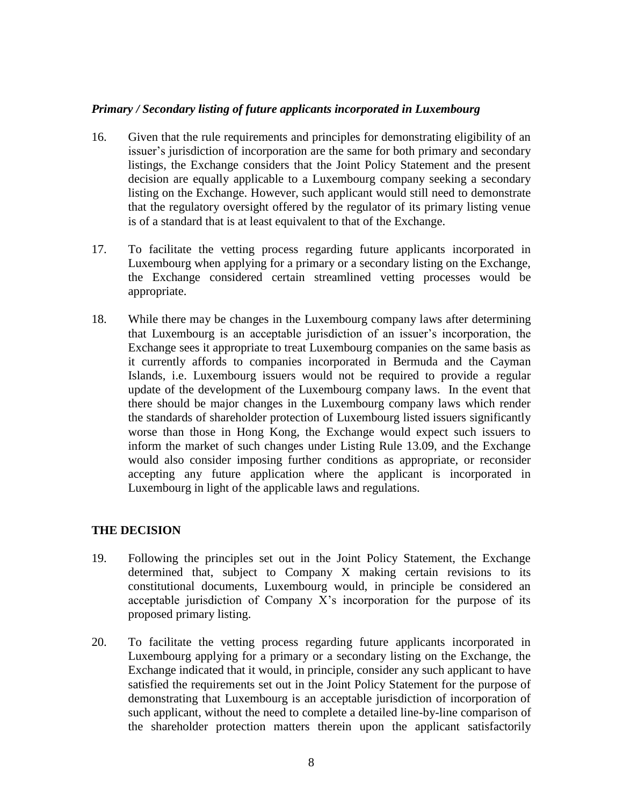### *Primary / Secondary listing of future applicants incorporated in Luxembourg*

- 16. Given that the rule requirements and principles for demonstrating eligibility of an issuer's jurisdiction of incorporation are the same for both primary and secondary listings, the Exchange considers that the Joint Policy Statement and the present decision are equally applicable to a Luxembourg company seeking a secondary listing on the Exchange. However, such applicant would still need to demonstrate that the regulatory oversight offered by the regulator of its primary listing venue is of a standard that is at least equivalent to that of the Exchange.
- 17. To facilitate the vetting process regarding future applicants incorporated in Luxembourg when applying for a primary or a secondary listing on the Exchange, the Exchange considered certain streamlined vetting processes would be appropriate.
- 18. While there may be changes in the Luxembourg company laws after determining that Luxembourg is an acceptable jurisdiction of an issuer's incorporation, the Exchange sees it appropriate to treat Luxembourg companies on the same basis as it currently affords to companies incorporated in Bermuda and the Cayman Islands, i.e. Luxembourg issuers would not be required to provide a regular update of the development of the Luxembourg company laws. In the event that there should be major changes in the Luxembourg company laws which render the standards of shareholder protection of Luxembourg listed issuers significantly worse than those in Hong Kong, the Exchange would expect such issuers to inform the market of such changes under Listing Rule 13.09, and the Exchange would also consider imposing further conditions as appropriate, or reconsider accepting any future application where the applicant is incorporated in Luxembourg in light of the applicable laws and regulations.

### **THE DECISION**

- 19. Following the principles set out in the Joint Policy Statement, the Exchange determined that, subject to Company X making certain revisions to its constitutional documents, Luxembourg would, in principle be considered an acceptable jurisdiction of Company X's incorporation for the purpose of its proposed primary listing.
- 20. To facilitate the vetting process regarding future applicants incorporated in Luxembourg applying for a primary or a secondary listing on the Exchange, the Exchange indicated that it would, in principle, consider any such applicant to have satisfied the requirements set out in the Joint Policy Statement for the purpose of demonstrating that Luxembourg is an acceptable jurisdiction of incorporation of such applicant, without the need to complete a detailed line-by-line comparison of the shareholder protection matters therein upon the applicant satisfactorily